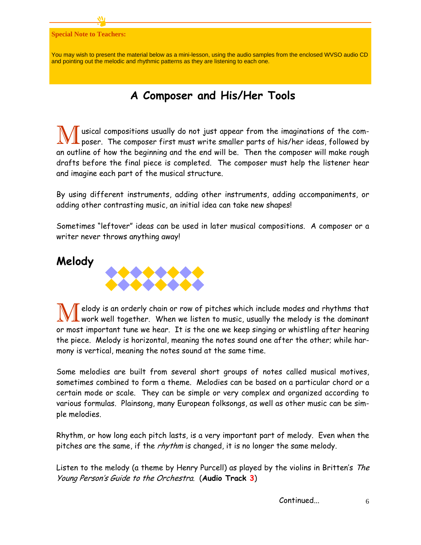#### **Special Note to Teachers:**

You may wish to present the material below as a mini-lesson, using the audio samples from the enclosed WVSO audio CD and pointing out the melodic and rhythmic patterns as they are listening to each one.

#### **A Composer and His/Her Tools**

**M** usical compositions usually do not just appear from the imaginations of the com-<br>poser. The composer first must write smaller parts of his/her ideas, followed by an outline of how the beginning and the end will be. Then the composer will make rough drafts before the final piece is completed. The composer must help the listener hear and imagine each part of the musical structure.

By using different instruments, adding other instruments, adding accompaniments, or adding other contrasting music, an initial idea can take new shapes!

Sometimes "leftover" ideas can be used in later musical compositions. A composer or a writer never throws anything away!

#### **Melody**



W elody is an orderly chain or row of pitches which include modes and rhythms that work well together. When we listen to music, usually the melody is the dominant or most important tune we hear. It is the one we keep singing or whistling after hearing the piece. Melody is horizontal, meaning the notes sound one after the other; while harmony is vertical, meaning the notes sound at the same time.

Some melodies are built from several short groups of notes called musical motives, sometimes combined to form a theme. Melodies can be based on a particular chord or a certain mode or scale. They can be simple or very complex and organized according to various formulas. Plainsong, many European folksongs, as well as other music can be simple melodies.

Rhythm, or how long each pitch lasts, is a very important part of melody. Even when the pitches are the same, if the *rhythm* is changed, it is no longer the same melody.

Listen to the melody (a theme by Henry Purcell) as played by the violins in Britten's The Young Person's Guide to the Orchestra. (**Audio Track 3**)

Continued...

6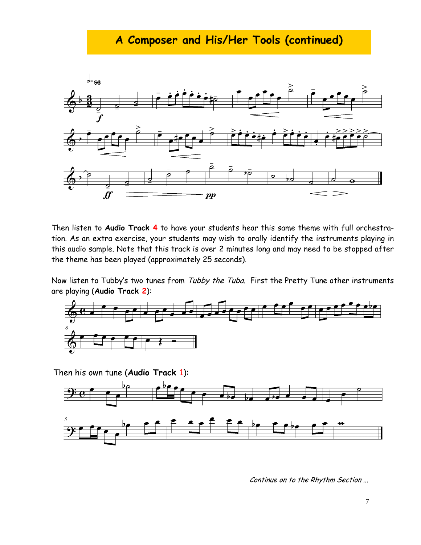# **A Composer and His/Her Tools (continued)**



Then listen to **Audio Track 4** to have your students hear this same theme with full orchestration. As an extra exercise, your students may wish to orally identify the instruments playing in this audio sample. Note that this track is over 2 minutes long and may need to be stopped after the theme has been played (approximately 25 seconds).

Now listen to Tubby's two tunes from Tubby the Tuba. First the Pretty Tune other instruments are playing (**Audio Track 2**):



Then his own tune (**Audio Track** 1):



Continue on to the Rhythm Section ...